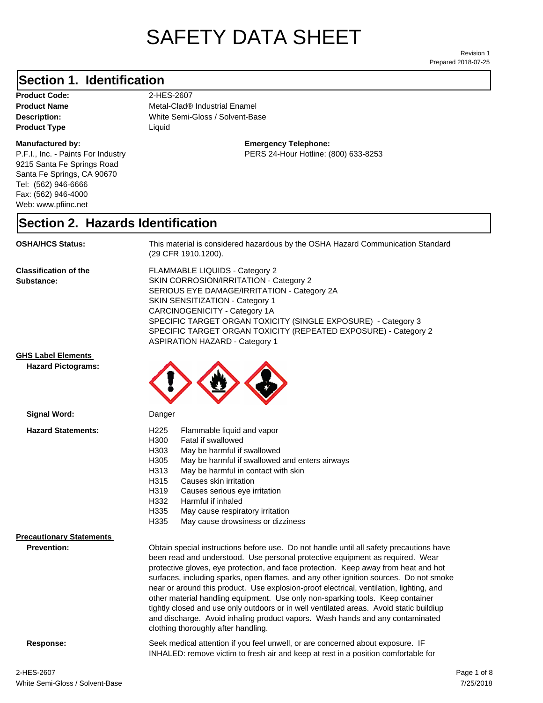# SAFETY DATA SHEET

Prepared 2018-07-25 Revision 1

#### **Section 1. Identification**

Product Code: 2-HES-2607 **Product Type** Liquid

#### **Manufactured by:**

P.F.I., Inc. - Paints For Industry 9215 Santa Fe Springs Road Santa Fe Springs, CA 90670 Tel: (562) 946-6666 Fax: (562) 946-4000 Web: www.pfiinc.net

**Description:** White Semi-Gloss / Solvent-Base **Product Name** Metal-Clad® Industrial Enamel

**Emergency Telephone:**

PERS 24-Hour Hotline: (800) 633-8253

#### **Section 2. Hazards Identification**

**OSHA/HCS Status:** This material is considered hazardous by the OSHA Hazard Communication Standard (29 CFR 1910.1200).

**Classification of the Substance:**

FLAMMABLE LIQUIDS - Category 2 SKIN CORROSION/IRRITATION - Category 2 SERIOUS EYE DAMAGE/IRRITATION - Category 2A SKIN SENSITIZATION - Category 1 CARCINOGENICITY - Category 1A SPECIFIC TARGET ORGAN TOXICITY (SINGLE EXPOSURE) - Category 3 SPECIFIC TARGET ORGAN TOXICITY (REPEATED EXPOSURE) - Category 2 ASPIRATION HAZARD - Category 1

#### **GHS Label Elements**

**Signal Word:**

**Hazard Pictograms:**



| <b>Hazard Statements:</b>       | H <sub>225</sub> | Flammable liquid and vapor                                                                                                                                      |
|---------------------------------|------------------|-----------------------------------------------------------------------------------------------------------------------------------------------------------------|
|                                 | H <sub>300</sub> | Fatal if swallowed                                                                                                                                              |
|                                 | H <sub>303</sub> | May be harmful if swallowed                                                                                                                                     |
|                                 | H <sub>305</sub> | May be harmful if swallowed and enters airways                                                                                                                  |
|                                 | H313             | May be harmful in contact with skin                                                                                                                             |
|                                 | H315             | Causes skin irritation                                                                                                                                          |
|                                 | H319             | Causes serious eye irritation                                                                                                                                   |
|                                 | H332             | Harmful if inhaled                                                                                                                                              |
|                                 | H335             | May cause respiratory irritation                                                                                                                                |
|                                 | H335             | May cause drowsiness or dizziness                                                                                                                               |
| <b>Precautionary Statements</b> |                  |                                                                                                                                                                 |
| <b>Prevention:</b>              |                  | Obtain special instructions before use. Do not handle until all safety precaution<br>been read and understood. Use personal protective equipment as required. V |
|                                 |                  |                                                                                                                                                                 |

ntil all safety precautions have uipment as required. Wear protective gloves, eye protection, and face protection. Keep away from heat and hot surfaces, including sparks, open flames, and any other ignition sources. Do not smoke near or around this product. Use explosion-proof electrical, ventilation, lighting, and other material handling equipment. Use only non-sparking tools. Keep container tightly closed and use only outdoors or in well ventilated areas. Avoid static buildiup and discharge. Avoid inhaling product vapors. Wash hands and any contaminated clothing thoroughly after handling.

**Response:** Seek medical attention if you feel unwell, or are concerned about exposure. IF INHALED: remove victim to fresh air and keep at rest in a position comfortable for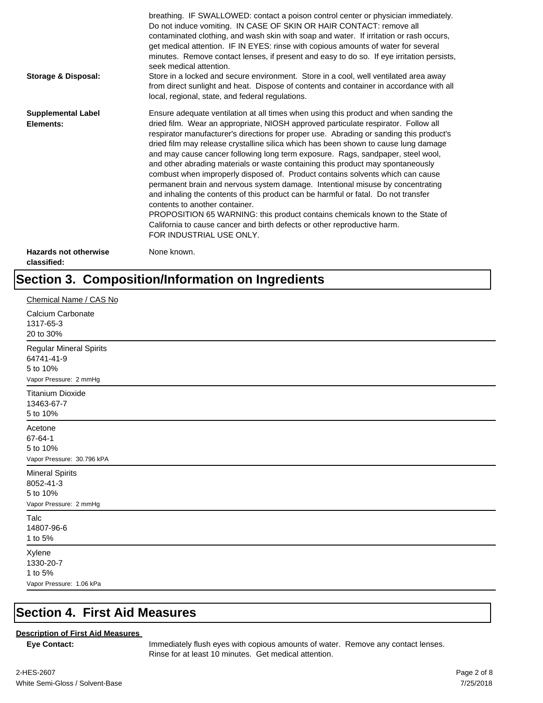| <b>Storage &amp; Disposal:</b>              | breathing. IF SWALLOWED: contact a poison control center or physician immediately.<br>Do not induce vomiting. IN CASE OF SKIN OR HAIR CONTACT: remove all<br>contaminated clothing, and wash skin with soap and water. If irritation or rash occurs,<br>get medical attention. IF IN EYES: rinse with copious amounts of water for several<br>minutes. Remove contact lenses, if present and easy to do so. If eye irritation persists,<br>seek medical attention.<br>Store in a locked and secure environment. Store in a cool, well ventilated area away<br>from direct sunlight and heat. Dispose of contents and container in accordance with all<br>local, regional, state, and federal regulations.                                                                                                                                                                                                                                                                                                                |
|---------------------------------------------|--------------------------------------------------------------------------------------------------------------------------------------------------------------------------------------------------------------------------------------------------------------------------------------------------------------------------------------------------------------------------------------------------------------------------------------------------------------------------------------------------------------------------------------------------------------------------------------------------------------------------------------------------------------------------------------------------------------------------------------------------------------------------------------------------------------------------------------------------------------------------------------------------------------------------------------------------------------------------------------------------------------------------|
| <b>Supplemental Label</b><br>Elements:      | Ensure adequate ventilation at all times when using this product and when sanding the<br>dried film. Wear an appropriate, NIOSH approved particulate respirator. Follow all<br>respirator manufacturer's directions for proper use. Abrading or sanding this product's<br>dried film may release crystalline silica which has been shown to cause lung damage<br>and may cause cancer following long term exposure. Rags, sandpaper, steel wool,<br>and other abrading materials or waste containing this product may spontaneously<br>combust when improperly disposed of. Product contains solvents which can cause<br>permanent brain and nervous system damage. Intentional misuse by concentrating<br>and inhaling the contents of this product can be harmful or fatal. Do not transfer<br>contents to another container.<br>PROPOSITION 65 WARNING: this product contains chemicals known to the State of<br>California to cause cancer and birth defects or other reproductive harm.<br>FOR INDUSTRIAL USE ONLY. |
| <b>Hazards not otherwise</b><br>classified: | None known.                                                                                                                                                                                                                                                                                                                                                                                                                                                                                                                                                                                                                                                                                                                                                                                                                                                                                                                                                                                                              |

# **Section 3. Composition/Information on Ingredients**

| Chemical Name / CAS No                                                             |
|------------------------------------------------------------------------------------|
| Calcium Carbonate<br>1317-65-3<br>20 to 30%                                        |
| <b>Regular Mineral Spirits</b><br>64741-41-9<br>5 to 10%<br>Vapor Pressure: 2 mmHg |
| <b>Titanium Dioxide</b><br>13463-67-7<br>5 to 10%                                  |
| Acetone<br>67-64-1<br>5 to 10%<br>Vapor Pressure: 30.796 kPA                       |
| <b>Mineral Spirits</b><br>8052-41-3<br>5 to 10%<br>Vapor Pressure: 2 mmHg          |
| Talc<br>14807-96-6<br>1 to 5%                                                      |
| Xylene<br>1330-20-7<br>1 to 5%<br>Vapor Pressure: 1.06 kPa                         |

### **Section 4. First Aid Measures**

#### **Description of First Aid Measures**

Eye Contact: **IMMED** Immediately flush eyes with copious amounts of water. Remove any contact lenses. Rinse for at least 10 minutes. Get medical attention.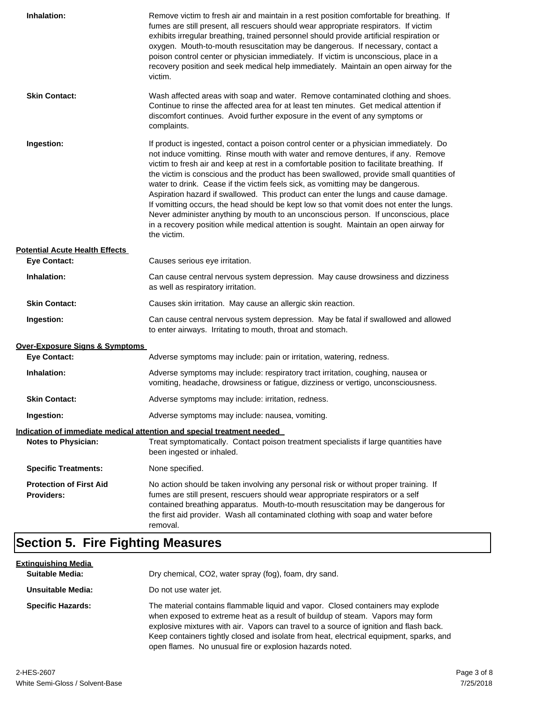| Inhalation:                                         | Remove victim to fresh air and maintain in a rest position comfortable for breathing. If<br>fumes are still present, all rescuers should wear appropriate respirators. If victim<br>exhibits irregular breathing, trained personnel should provide artificial respiration or<br>oxygen. Mouth-to-mouth resuscitation may be dangerous. If necessary, contact a<br>poison control center or physician immediately. If victim is unconscious, place in a<br>recovery position and seek medical help immediately. Maintain an open airway for the<br>victim.                                                                                                                                                                                                                                                                             |  |
|-----------------------------------------------------|---------------------------------------------------------------------------------------------------------------------------------------------------------------------------------------------------------------------------------------------------------------------------------------------------------------------------------------------------------------------------------------------------------------------------------------------------------------------------------------------------------------------------------------------------------------------------------------------------------------------------------------------------------------------------------------------------------------------------------------------------------------------------------------------------------------------------------------|--|
| <b>Skin Contact:</b>                                | Wash affected areas with soap and water. Remove contaminated clothing and shoes.<br>Continue to rinse the affected area for at least ten minutes. Get medical attention if<br>discomfort continues. Avoid further exposure in the event of any symptoms or<br>complaints.                                                                                                                                                                                                                                                                                                                                                                                                                                                                                                                                                             |  |
| Ingestion:                                          | If product is ingested, contact a poison control center or a physician immediately. Do<br>not induce vomitting. Rinse mouth with water and remove dentures, if any. Remove<br>victim to fresh air and keep at rest in a comfortable position to facilitate breathing. If<br>the victim is conscious and the product has been swallowed, provide small quantities of<br>water to drink. Cease if the victim feels sick, as vomitting may be dangerous.<br>Aspiration hazard if swallowed. This product can enter the lungs and cause damage.<br>If vomitting occurs, the head should be kept low so that vomit does not enter the lungs.<br>Never administer anything by mouth to an unconscious person. If unconscious, place<br>in a recovery position while medical attention is sought. Maintain an open airway for<br>the victim. |  |
| <b>Potential Acute Health Effects</b>               |                                                                                                                                                                                                                                                                                                                                                                                                                                                                                                                                                                                                                                                                                                                                                                                                                                       |  |
| <b>Eye Contact:</b>                                 | Causes serious eye irritation.                                                                                                                                                                                                                                                                                                                                                                                                                                                                                                                                                                                                                                                                                                                                                                                                        |  |
| Inhalation:                                         | Can cause central nervous system depression. May cause drowsiness and dizziness<br>as well as respiratory irritation.                                                                                                                                                                                                                                                                                                                                                                                                                                                                                                                                                                                                                                                                                                                 |  |
| <b>Skin Contact:</b>                                | Causes skin irritation. May cause an allergic skin reaction.                                                                                                                                                                                                                                                                                                                                                                                                                                                                                                                                                                                                                                                                                                                                                                          |  |
| Ingestion:                                          | Can cause central nervous system depression. May be fatal if swallowed and allowed<br>to enter airways. Irritating to mouth, throat and stomach.                                                                                                                                                                                                                                                                                                                                                                                                                                                                                                                                                                                                                                                                                      |  |
| Over-Exposure Signs & Symptoms                      |                                                                                                                                                                                                                                                                                                                                                                                                                                                                                                                                                                                                                                                                                                                                                                                                                                       |  |
| <b>Eye Contact:</b>                                 | Adverse symptoms may include: pain or irritation, watering, redness.                                                                                                                                                                                                                                                                                                                                                                                                                                                                                                                                                                                                                                                                                                                                                                  |  |
| Inhalation:                                         | Adverse symptoms may include: respiratory tract irritation, coughing, nausea or<br>vomiting, headache, drowsiness or fatigue, dizziness or vertigo, unconsciousness.                                                                                                                                                                                                                                                                                                                                                                                                                                                                                                                                                                                                                                                                  |  |
| <b>Skin Contact:</b>                                | Adverse symptoms may include: irritation, redness.                                                                                                                                                                                                                                                                                                                                                                                                                                                                                                                                                                                                                                                                                                                                                                                    |  |
| Ingestion:                                          | Adverse symptoms may include: nausea, vomiting.                                                                                                                                                                                                                                                                                                                                                                                                                                                                                                                                                                                                                                                                                                                                                                                       |  |
|                                                     | Indication of immediate medical attention and special treatment needed                                                                                                                                                                                                                                                                                                                                                                                                                                                                                                                                                                                                                                                                                                                                                                |  |
| <b>Notes to Physician:</b>                          | Treat symptomatically. Contact poison treatment specialists if large quantities have<br>been ingested or inhaled.                                                                                                                                                                                                                                                                                                                                                                                                                                                                                                                                                                                                                                                                                                                     |  |
| <b>Specific Treatments:</b>                         | None specified.                                                                                                                                                                                                                                                                                                                                                                                                                                                                                                                                                                                                                                                                                                                                                                                                                       |  |
| <b>Protection of First Aid</b><br><b>Providers:</b> | No action should be taken involving any personal risk or without proper training. If<br>fumes are still present, rescuers should wear appropriate respirators or a self<br>contained breathing apparatus. Mouth-to-mouth resuscitation may be dangerous for<br>the first aid provider. Wash all contaminated clothing with soap and water before<br>removal.                                                                                                                                                                                                                                                                                                                                                                                                                                                                          |  |

# **Section 5. Fire Fighting Measures**

| <b>Extinguishing Media</b> |                                                                                                                                                                                                                                                                                                                                                                                                                   |
|----------------------------|-------------------------------------------------------------------------------------------------------------------------------------------------------------------------------------------------------------------------------------------------------------------------------------------------------------------------------------------------------------------------------------------------------------------|
| <b>Suitable Media:</b>     | Dry chemical, CO2, water spray (fog), foam, dry sand.                                                                                                                                                                                                                                                                                                                                                             |
| Unsuitable Media:          | Do not use water jet.                                                                                                                                                                                                                                                                                                                                                                                             |
| <b>Specific Hazards:</b>   | The material contains flammable liquid and vapor. Closed containers may explode<br>when exposed to extreme heat as a result of buildup of steam. Vapors may form<br>explosive mixtures with air. Vapors can travel to a source of ignition and flash back.<br>Keep containers tightly closed and isolate from heat, electrical equipment, sparks, and<br>open flames. No unusual fire or explosion hazards noted. |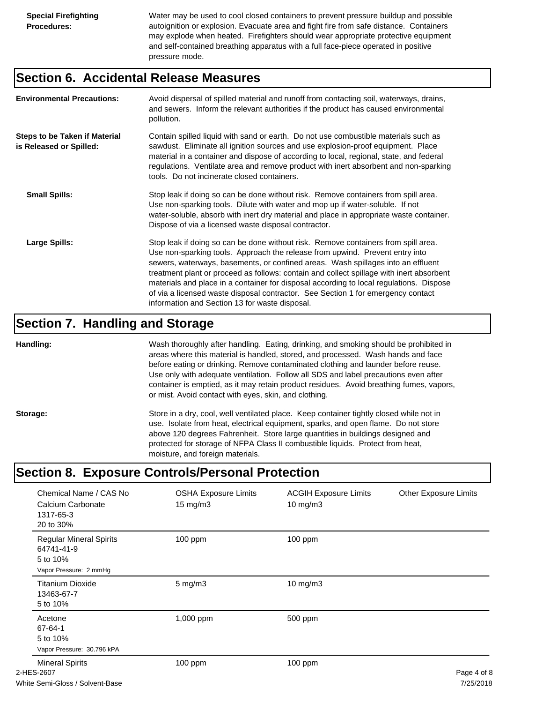Water may be used to cool closed containers to prevent pressure buildup and possible autoignition or explosion. Evacuate area and fight fire from safe distance. Containers may explode when heated. Firefighters should wear appropriate protective equipment and self-contained breathing apparatus with a full face-piece operated in positive pressure mode.

#### **Section 6. Accidental Release Measures**

| <b>Environmental Precautions:</b>                               | Avoid dispersal of spilled material and runoff from contacting soil, waterways, drains,<br>and sewers. Inform the relevant authorities if the product has caused environmental<br>pollution.                                                                                                                                                                                                                                                                                                                                                                                        |
|-----------------------------------------------------------------|-------------------------------------------------------------------------------------------------------------------------------------------------------------------------------------------------------------------------------------------------------------------------------------------------------------------------------------------------------------------------------------------------------------------------------------------------------------------------------------------------------------------------------------------------------------------------------------|
| <b>Steps to be Taken if Material</b><br>is Released or Spilled: | Contain spilled liquid with sand or earth. Do not use combustible materials such as<br>sawdust. Eliminate all ignition sources and use explosion-proof equipment. Place<br>material in a container and dispose of according to local, regional, state, and federal<br>regulations. Ventilate area and remove product with inert absorbent and non-sparking<br>tools. Do not incinerate closed containers.                                                                                                                                                                           |
| <b>Small Spills:</b>                                            | Stop leak if doing so can be done without risk. Remove containers from spill area.<br>Use non-sparking tools. Dilute with water and mop up if water-soluble. If not<br>water-soluble, absorb with inert dry material and place in appropriate waste container.<br>Dispose of via a licensed waste disposal contractor.                                                                                                                                                                                                                                                              |
| Large Spills:                                                   | Stop leak if doing so can be done without risk. Remove containers from spill area.<br>Use non-sparking tools. Approach the release from upwind. Prevent entry into<br>sewers, waterways, basements, or confined areas. Wash spillages into an effluent<br>treatment plant or proceed as follows: contain and collect spillage with inert absorbent<br>materials and place in a container for disposal according to local regulations. Dispose<br>of via a licensed waste disposal contractor. See Section 1 for emergency contact<br>information and Section 13 for waste disposal. |

#### **Section 7. Handling and Storage**

**Handling:** Wash thoroughly after handling. Eating, drinking, and smoking should be prohibited in areas where this material is handled, stored, and processed. Wash hands and face before eating or drinking. Remove contaminated clothing and launder before reuse. Use only with adequate ventilation. Follow all SDS and label precautions even after container is emptied, as it may retain product residues. Avoid breathing fumes, vapors, or mist. Avoid contact with eyes, skin, and clothing.

Storage: Store in a dry, cool, well ventilated place. Keep container tightly closed while not in use. Isolate from heat, electrical equipment, sparks, and open flame. Do not store above 120 degrees Fahrenheit. Store large quantities in buildings designed and protected for storage of NFPA Class II combustible liquids. Protect from heat, moisture, and foreign materials.

#### **Section 8. Exposure Controls/Personal Protection**

| Chemical Name / CAS No<br>Calcium Carbonate<br>1317-65-3<br>20 to 30%              | <b>OSHA Exposure Limits</b><br>$15 \text{ mg/m}$ | <b>ACGIH Exposure Limits</b><br>$10 \text{ mg/m}$ | <b>Other Exposure Limits</b> |
|------------------------------------------------------------------------------------|--------------------------------------------------|---------------------------------------------------|------------------------------|
| <b>Regular Mineral Spirits</b><br>64741-41-9<br>5 to 10%<br>Vapor Pressure: 2 mmHg | $100$ ppm                                        | $100$ ppm                                         |                              |
| <b>Titanium Dioxide</b><br>13463-67-7<br>5 to 10%                                  | $5$ mg/m $3$                                     | 10 mg/m3                                          |                              |
| Acetone<br>67-64-1<br>5 to 10%<br>Vapor Pressure: 30.796 kPA                       | 1,000 ppm                                        | 500 ppm                                           |                              |
| <b>Mineral Spirits</b><br>2-HES-2607<br>White Semi-Gloss / Solvent-Base            | $100$ ppm                                        | $100$ ppm                                         | Page 4 of 8<br>7/25/2018     |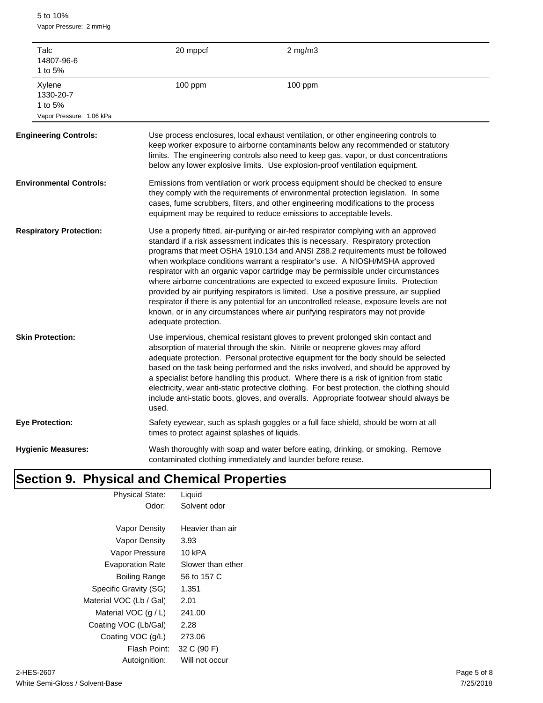| Talc<br>14807-96-6<br>1 to 5%                              | 20 mppcf                                                                                                                                                                                                                                                                                                                                                                                                                                                                                                                                                                                                                                                                                                                                                                                                              | $2$ mg/m $3$ |  |
|------------------------------------------------------------|-----------------------------------------------------------------------------------------------------------------------------------------------------------------------------------------------------------------------------------------------------------------------------------------------------------------------------------------------------------------------------------------------------------------------------------------------------------------------------------------------------------------------------------------------------------------------------------------------------------------------------------------------------------------------------------------------------------------------------------------------------------------------------------------------------------------------|--------------|--|
| Xylene<br>1330-20-7<br>1 to 5%<br>Vapor Pressure: 1.06 kPa | $100$ ppm                                                                                                                                                                                                                                                                                                                                                                                                                                                                                                                                                                                                                                                                                                                                                                                                             | $100$ ppm    |  |
| <b>Engineering Controls:</b>                               | Use process enclosures, local exhaust ventilation, or other engineering controls to<br>keep worker exposure to airborne contaminants below any recommended or statutory<br>limits. The engineering controls also need to keep gas, vapor, or dust concentrations<br>below any lower explosive limits. Use explosion-proof ventilation equipment.                                                                                                                                                                                                                                                                                                                                                                                                                                                                      |              |  |
| <b>Environmental Controls:</b>                             | Emissions from ventilation or work process equipment should be checked to ensure<br>they comply with the requirements of environmental protection legislation. In some<br>cases, fume scrubbers, filters, and other engineering modifications to the process<br>equipment may be required to reduce emissions to acceptable levels.                                                                                                                                                                                                                                                                                                                                                                                                                                                                                   |              |  |
| <b>Respiratory Protection:</b>                             | Use a properly fitted, air-purifying or air-fed respirator complying with an approved<br>standard if a risk assessment indicates this is necessary. Respiratory protection<br>programs that meet OSHA 1910.134 and ANSI Z88.2 requirements must be followed<br>when workplace conditions warrant a respirator's use. A NIOSH/MSHA approved<br>respirator with an organic vapor cartridge may be permissible under circumstances<br>where airborne concentrations are expected to exceed exposure limits. Protection<br>provided by air purifying respirators is limited. Use a positive pressure, air supplied<br>respirator if there is any potential for an uncontrolled release, exposure levels are not<br>known, or in any circumstances where air purifying respirators may not provide<br>adequate protection. |              |  |
| <b>Skin Protection:</b>                                    | Use impervious, chemical resistant gloves to prevent prolonged skin contact and<br>absorption of material through the skin. Nitrile or neoprene gloves may afford<br>adequate protection. Personal protective equipment for the body should be selected<br>based on the task being performed and the risks involved, and should be approved by<br>a specialist before handling this product. Where there is a risk of ignition from static<br>electricity, wear anti-static protective clothing. For best protection, the clothing should<br>include anti-static boots, gloves, and overalls. Appropriate footwear should always be<br>used.                                                                                                                                                                          |              |  |
| <b>Eye Protection:</b>                                     | Safety eyewear, such as splash goggles or a full face shield, should be worn at all<br>times to protect against splashes of liquids.                                                                                                                                                                                                                                                                                                                                                                                                                                                                                                                                                                                                                                                                                  |              |  |
| <b>Hygienic Measures:</b>                                  | Wash thoroughly with soap and water before eating, drinking, or smoking. Remove<br>contaminated clothing immediately and launder before reuse.                                                                                                                                                                                                                                                                                                                                                                                                                                                                                                                                                                                                                                                                        |              |  |

### **Section 9. Physical and Chemical Properties**

Physical State: Liquid Odor: Solvent odor Vapor Density Heavier than air Vapor Density 3.93 Vapor Pressure 10 kPA Evaporation Rate Slower than ether Boiling Range 56 to 157 C Specific Gravity (SG) 1.351 Material VOC (Lb / Gal) 2.01 Material VOC (g / L) 241.00 Coating VOC (Lb/Gal) 2.28 Coating VOC (g/L) 273.06 Flash Point: 32 C (90 F) Autoignition: Will not occur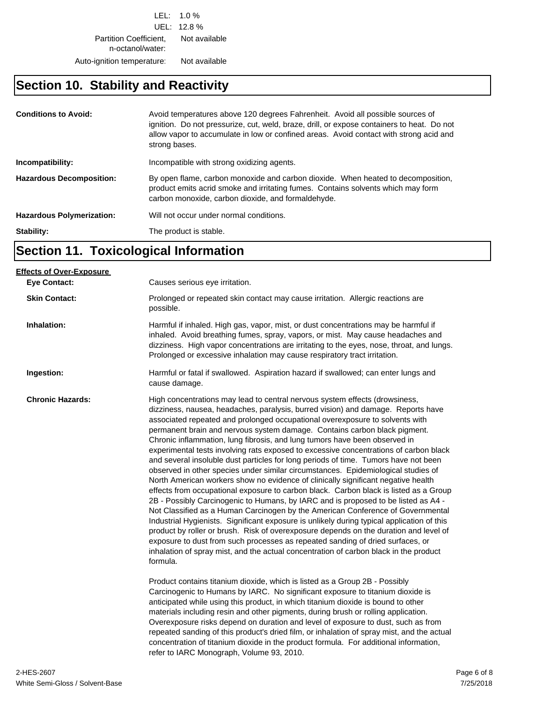LEL: 1.0 % UEL: 12.8 % Partition Coefficient, Not available n-octanol/water:

Auto-ignition temperature: Not available

# **Section 10. Stability and Reactivity**

| <b>Conditions to Avoid:</b>      | Avoid temperatures above 120 degrees Fahrenheit. Avoid all possible sources of<br>ignition. Do not pressurize, cut, weld, braze, drill, or expose containers to heat. Do not<br>allow vapor to accumulate in low or confined areas. Avoid contact with strong acid and<br>strong bases. |  |
|----------------------------------|-----------------------------------------------------------------------------------------------------------------------------------------------------------------------------------------------------------------------------------------------------------------------------------------|--|
| Incompatibility:                 | Incompatible with strong oxidizing agents.                                                                                                                                                                                                                                              |  |
| <b>Hazardous Decomposition:</b>  | By open flame, carbon monoxide and carbon dioxide. When heated to decomposition,<br>product emits acrid smoke and irritating fumes. Contains solvents which may form<br>carbon monoxide, carbon dioxide, and formaldehyde.                                                              |  |
| <b>Hazardous Polymerization:</b> | Will not occur under normal conditions.                                                                                                                                                                                                                                                 |  |
| Stability:                       | The product is stable.                                                                                                                                                                                                                                                                  |  |

# **Section 11. Toxicological Information**

| <b>Eye Contact:</b>     | Causes serious eye irritation.                                                                                                                                                                                                                                                                                                                                                                                                                                                                                                                                                                                                                                                                                                                                                                                                                                                                                                                                                                                                                                                                                                                                                                                                                                                                                                                                                                                       |
|-------------------------|----------------------------------------------------------------------------------------------------------------------------------------------------------------------------------------------------------------------------------------------------------------------------------------------------------------------------------------------------------------------------------------------------------------------------------------------------------------------------------------------------------------------------------------------------------------------------------------------------------------------------------------------------------------------------------------------------------------------------------------------------------------------------------------------------------------------------------------------------------------------------------------------------------------------------------------------------------------------------------------------------------------------------------------------------------------------------------------------------------------------------------------------------------------------------------------------------------------------------------------------------------------------------------------------------------------------------------------------------------------------------------------------------------------------|
| <b>Skin Contact:</b>    | Prolonged or repeated skin contact may cause irritation. Allergic reactions are<br>possible.                                                                                                                                                                                                                                                                                                                                                                                                                                                                                                                                                                                                                                                                                                                                                                                                                                                                                                                                                                                                                                                                                                                                                                                                                                                                                                                         |
| Inhalation:             | Harmful if inhaled. High gas, vapor, mist, or dust concentrations may be harmful if<br>inhaled. Avoid breathing fumes, spray, vapors, or mist. May cause headaches and<br>dizziness. High vapor concentrations are irritating to the eyes, nose, throat, and lungs.<br>Prolonged or excessive inhalation may cause respiratory tract irritation.                                                                                                                                                                                                                                                                                                                                                                                                                                                                                                                                                                                                                                                                                                                                                                                                                                                                                                                                                                                                                                                                     |
| Ingestion:              | Harmful or fatal if swallowed. Aspiration hazard if swallowed; can enter lungs and<br>cause damage.                                                                                                                                                                                                                                                                                                                                                                                                                                                                                                                                                                                                                                                                                                                                                                                                                                                                                                                                                                                                                                                                                                                                                                                                                                                                                                                  |
| <b>Chronic Hazards:</b> | High concentrations may lead to central nervous system effects (drowsiness,<br>dizziness, nausea, headaches, paralysis, burred vision) and damage. Reports have<br>associated repeated and prolonged occupational overexposure to solvents with<br>permanent brain and nervous system damage. Contains carbon black pigment.<br>Chronic inflammation, lung fibrosis, and lung tumors have been observed in<br>experimental tests involving rats exposed to excessive concentrations of carbon black<br>and several insoluble dust particles for long periods of time. Tumors have not been<br>observed in other species under similar circumstances. Epidemiological studies of<br>North American workers show no evidence of clinically significant negative health<br>effects from occupational exposure to carbon black. Carbon black is listed as a Group<br>2B - Possibly Carcinogenic to Humans, by IARC and is proposed to be listed as A4 -<br>Not Classified as a Human Carcinogen by the American Conference of Governmental<br>Industrial Hygienists. Significant exposure is unlikely during typical application of this<br>product by roller or brush. Risk of overexposure depends on the duration and level of<br>exposure to dust from such processes as repeated sanding of dried surfaces, or<br>inhalation of spray mist, and the actual concentration of carbon black in the product<br>formula. |
|                         | Product contains titanium dioxide, which is listed as a Group 2B - Possibly<br>Carcinogenic to Humans by IARC. No significant exposure to titanium dioxide is<br>anticipated while using this product, in which titanium dioxide is bound to other<br>materials including resin and other pigments, during brush or rolling application.<br>Overexposure risks depend on duration and level of exposure to dust, such as from<br>repeated sanding of this product's dried film, or inhalation of spray mist, and the actual<br>concentration of titanium dioxide in the product formula. For additional information,<br>refer to IARC Monograph, Volume 93, 2010.                                                                                                                                                                                                                                                                                                                                                                                                                                                                                                                                                                                                                                                                                                                                                    |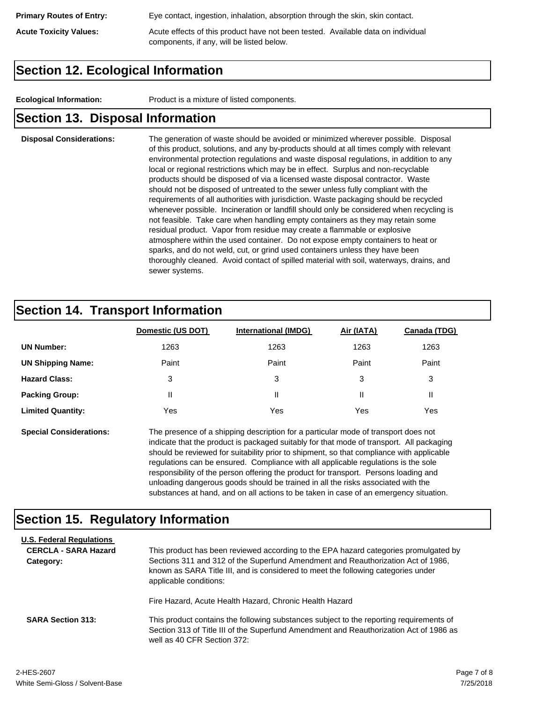**Primary Routes of Entry:** Eye contact, ingestion, inhalation, absorption through the skin, skin contact.

**Acute Toxicity Values:** Acute effects of this product have not been tested. Available data on individual components, if any, will be listed below.

#### **Section 12. Ecological Information**

**Ecological Information:** Product is a mixture of listed components.

#### **Section 13. Disposal Information**

**Disposal Considerations:** The generation of waste should be avoided or minimized wherever possible. Disposal of this product, solutions, and any by-products should at all times comply with relevant environmental protection regulations and waste disposal regulations, in addition to any local or regional restrictions which may be in effect. Surplus and non-recyclable products should be disposed of via a licensed waste disposal contractor. Waste should not be disposed of untreated to the sewer unless fully compliant with the requirements of all authorities with jurisdiction. Waste packaging should be recycled whenever possible. Incineration or landfill should only be considered when recycling is not feasible. Take care when handling empty containers as they may retain some residual product. Vapor from residue may create a flammable or explosive atmosphere within the used container. Do not expose empty containers to heat or sparks, and do not weld, cut, or grind used containers unless they have been thoroughly cleaned. Avoid contact of spilled material with soil, waterways, drains, and sewer systems.

#### **Section 14. Transport Information**

|                          | Domestic (US DOT) | <b>International (IMDG)</b> | Air (IATA) | Canada (TDG) |
|--------------------------|-------------------|-----------------------------|------------|--------------|
| <b>UN Number:</b>        | 1263              | 1263                        | 1263       | 1263         |
| <b>UN Shipping Name:</b> | Paint             | Paint                       | Paint      | Paint        |
| <b>Hazard Class:</b>     | 3                 | 3                           | 3          | 3            |
| <b>Packing Group:</b>    | Ш                 | Ш                           | Ш          |              |
| <b>Limited Quantity:</b> | Yes               | Yes                         | Yes        | Yes          |

**Special Considerations:** The presence of a shipping description for a particular mode of transport does not indicate that the product is packaged suitably for that mode of transport. All packaging should be reviewed for suitability prior to shipment, so that compliance with applicable regulations can be ensured. Compliance with all applicable regulations is the sole responsibility of the person offering the product for transport. Persons loading and unloading dangerous goods should be trained in all the risks associated with the substances at hand, and on all actions to be taken in case of an emergency situation.

#### **Section 15. Regulatory Information**

| <b>U.S. Federal Regulations</b><br><b>CERCLA - SARA Hazard</b><br>Category: | This product has been reviewed according to the EPA hazard categories promulgated by<br>Sections 311 and 312 of the Superfund Amendment and Reauthorization Act of 1986,<br>known as SARA Title III, and is considered to meet the following categories under<br>applicable conditions: |
|-----------------------------------------------------------------------------|-----------------------------------------------------------------------------------------------------------------------------------------------------------------------------------------------------------------------------------------------------------------------------------------|
|                                                                             | Fire Hazard, Acute Health Hazard, Chronic Health Hazard                                                                                                                                                                                                                                 |
| <b>SARA Section 313:</b>                                                    | This product contains the following substances subject to the reporting requirements of<br>Section 313 of Title III of the Superfund Amendment and Reauthorization Act of 1986 as<br>well as 40 CFR Section 372:                                                                        |